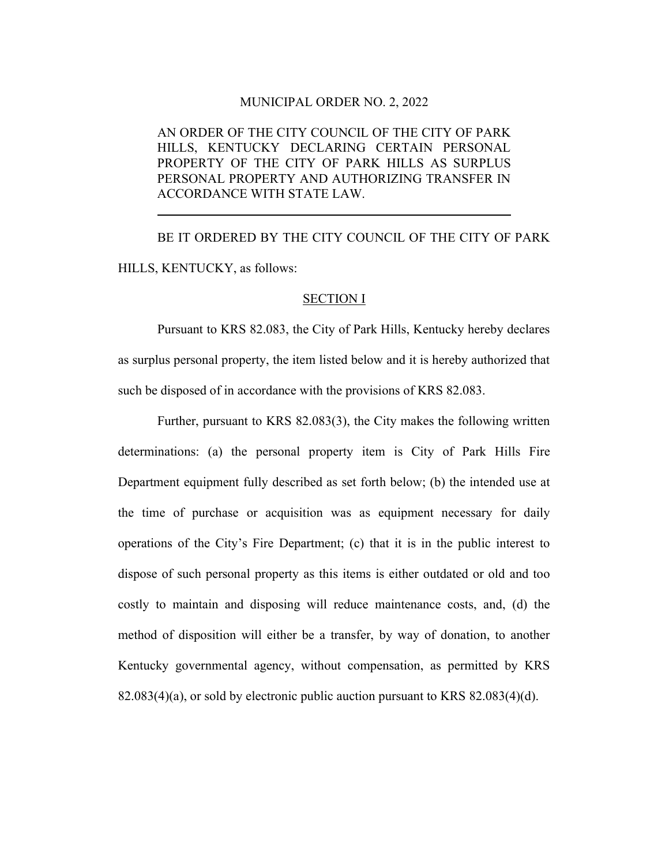## MUNICIPAL ORDER NO. 2, 2022

 AN ORDER OF THE CITY COUNCIL OF THE CITY OF PARK HILLS, KENTUCKY DECLARING CERTAIN PERSONAL PROPERTY OF THE CITY OF PARK HILLS AS SURPLUS PERSONAL PROPERTY AND AUTHORIZING TRANSFER IN ACCORDANCE WITH STATE LAW.

 BE IT ORDERED BY THE CITY COUNCIL OF THE CITY OF PARK HILLS, KENTUCKY, as follows:

## SECTION I

 Pursuant to KRS 82.083, the City of Park Hills, Kentucky hereby declares as surplus personal property, the item listed below and it is hereby authorized that such be disposed of in accordance with the provisions of KRS 82.083.

 Further, pursuant to KRS 82.083(3), the City makes the following written determinations: (a) the personal property item is City of Park Hills Fire Department equipment fully described as set forth below; (b) the intended use at the time of purchase or acquisition was as equipment necessary for daily operations of the City's Fire Department; (c) that it is in the public interest to dispose of such personal property as this items is either outdated or old and too costly to maintain and disposing will reduce maintenance costs, and, (d) the method of disposition will either be a transfer, by way of donation, to another Kentucky governmental agency, without compensation, as permitted by KRS 82.083(4)(a), or sold by electronic public auction pursuant to KRS 82.083(4)(d).